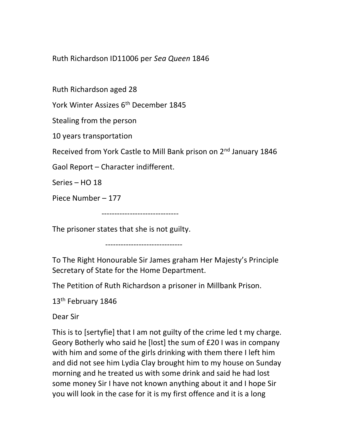Ruth Richardson ID11006 per Sea Queen 1846

Ruth Richardson aged 28

York Winter Assizes 6<sup>th</sup> December 1845

Stealing from the person

10 years transportation

Received from York Castle to Mill Bank prison on 2nd January 1846

Gaol Report – Character indifferent.

Series – HO 18

Piece Number – 177

------------------------------

The prisoner states that she is not guilty.

------------------------------

To The Right Honourable Sir James graham Her Majesty's Principle Secretary of State for the Home Department.

The Petition of Ruth Richardson a prisoner in Millbank Prison.

13<sup>th</sup> February 1846

Dear Sir

This is to [sertyfie] that I am not guilty of the crime led t my charge. Geory Botherly who said he [lost] the sum of £20 I was in company with him and some of the girls drinking with them there I left him and did not see him Lydia Clay brought him to my house on Sunday morning and he treated us with some drink and said he had lost some money Sir I have not known anything about it and I hope Sir you will look in the case for it is my first offence and it is a long